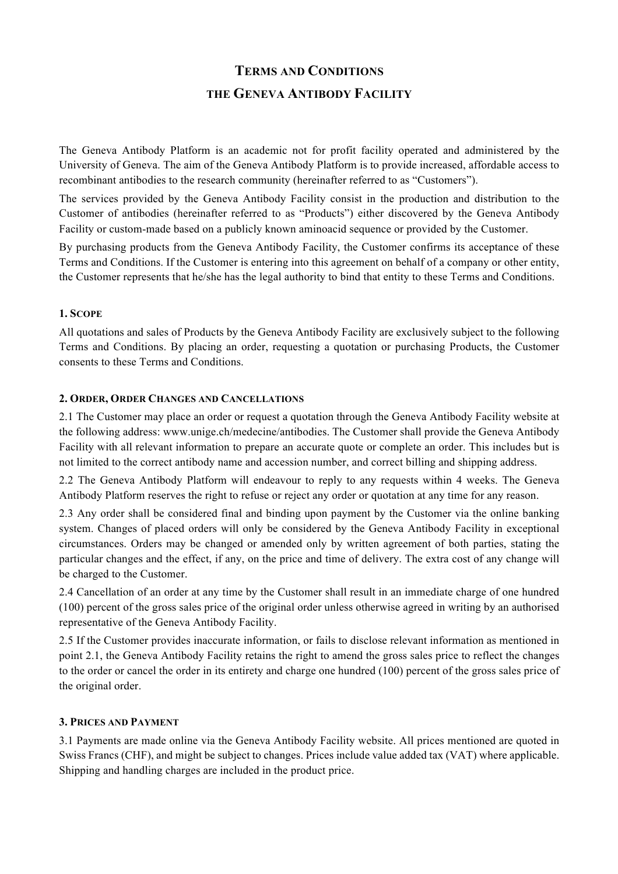# **TERMS AND CONDITIONS THE GENEVA ANTIBODY FACILITY**

The Geneva Antibody Platform is an academic not for profit facility operated and administered by the University of Geneva. The aim of the Geneva Antibody Platform is to provide increased, affordable access to recombinant antibodies to the research community (hereinafter referred to as "Customers").

The services provided by the Geneva Antibody Facility consist in the production and distribution to the Customer of antibodies (hereinafter referred to as "Products") either discovered by the Geneva Antibody Facility or custom-made based on a publicly known aminoacid sequence or provided by the Customer.

By purchasing products from the Geneva Antibody Facility, the Customer confirms its acceptance of these Terms and Conditions. If the Customer is entering into this agreement on behalf of a company or other entity, the Customer represents that he/she has the legal authority to bind that entity to these Terms and Conditions.

## **1. SCOPE**

All quotations and sales of Products by the Geneva Antibody Facility are exclusively subject to the following Terms and Conditions. By placing an order, requesting a quotation or purchasing Products, the Customer consents to these Terms and Conditions.

## **2. ORDER, ORDER CHANGES AND CANCELLATIONS**

2.1 The Customer may place an order or request a quotation through the Geneva Antibody Facility website at the following address: www.unige.ch/medecine/antibodies. The Customer shall provide the Geneva Antibody Facility with all relevant information to prepare an accurate quote or complete an order. This includes but is not limited to the correct antibody name and accession number, and correct billing and shipping address.

2.2 The Geneva Antibody Platform will endeavour to reply to any requests within 4 weeks. The Geneva Antibody Platform reserves the right to refuse or reject any order or quotation at any time for any reason.

2.3 Any order shall be considered final and binding upon payment by the Customer via the online banking system. Changes of placed orders will only be considered by the Geneva Antibody Facility in exceptional circumstances. Orders may be changed or amended only by written agreement of both parties, stating the particular changes and the effect, if any, on the price and time of delivery. The extra cost of any change will be charged to the Customer.

2.4 Cancellation of an order at any time by the Customer shall result in an immediate charge of one hundred (100) percent of the gross sales price of the original order unless otherwise agreed in writing by an authorised representative of the Geneva Antibody Facility.

2.5 If the Customer provides inaccurate information, or fails to disclose relevant information as mentioned in point 2.1, the Geneva Antibody Facility retains the right to amend the gross sales price to reflect the changes to the order or cancel the order in its entirety and charge one hundred (100) percent of the gross sales price of the original order.

## **3. PRICES AND PAYMENT**

3.1 Payments are made online via the Geneva Antibody Facility website. All prices mentioned are quoted in Swiss Francs (CHF), and might be subject to changes. Prices include value added tax (VAT) where applicable. Shipping and handling charges are included in the product price.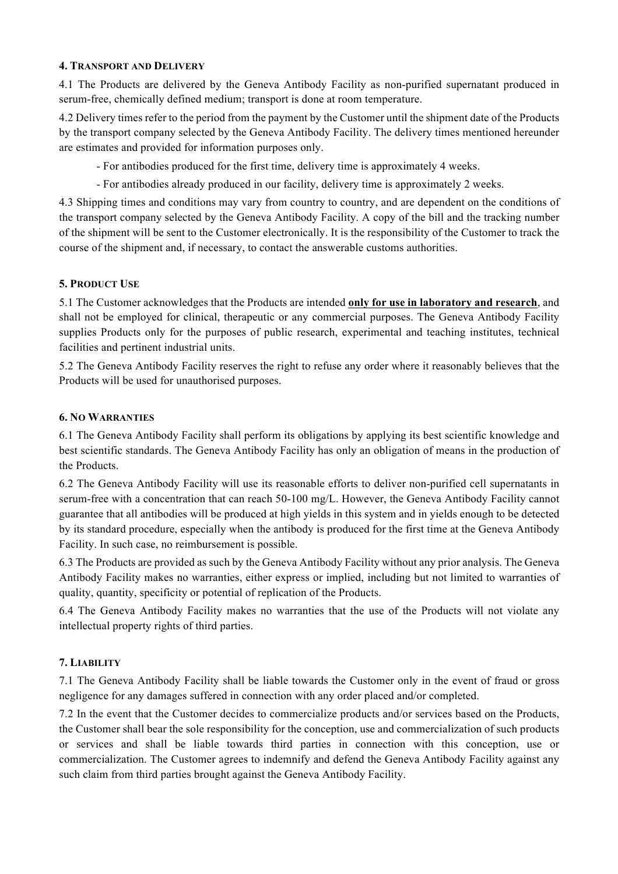## **4. TRANSPORT AND DELIVERY**

4.1 The Products are delivered by the Geneva Antibody Facility as non-purified supernatant produced in serum-free, chemically defined medium; transport is done at room temperature.

4.2 Delivery times refer to the period from the payment by the Customer until the shipment date of the Products by the transport company selected by the Geneva Antibody Facility. The delivery times mentioned hereunder are estimates and provided for information purposes only.

- For antibodies produced for the first time, delivery time is approximately 4 weeks.

- For antibodies already produced in our facility, delivery time is approximately 2 weeks.

4.3 Shipping times and conditions may vary from country to country, and are dependent on the conditions of the transport company selected by the Geneva Antibody Facility. A copy of the bill and the tracking number of the shipment will be sent to the Customer electronically. It is the responsibility of the Customer to track the course of the shipment and, if necessary, to contact the answerable customs authorities.

## **5. PRODUCT USE**

5.1 The Customer acknowledges that the Products are intended **only for use in laboratory and research**, and shall not be employed for clinical, therapeutic or any commercial purposes. The Geneva Antibody Facility supplies Products only for the purposes of public research, experimental and teaching institutes, technical facilities and pertinent industrial units.

5.2 The Geneva Antibody Facility reserves the right to refuse any order where it reasonably believes that the Products will be used for unauthorised purposes.

## **6. NO WARRANTIES**

6.1 The Geneva Antibody Facility shall perform its obligations by applying its best scientific knowledge and best scientific standards. The Geneva Antibody Facility has only an obligation of means in the production of the Products.

6.2 The Geneva Antibody Facility will use its reasonable efforts to deliver non-purified cell supernatants in serum-free with a concentration that can reach 50-100 mg/L. However, the Geneva Antibody Facility cannot guarantee that all antibodies will be produced at high yields in this system and in yields enough to be detected by its standard procedure, especially when the antibody is produced for the first time at the Geneva Antibody Facility. In such case, no reimbursement is possible.

6.3 The Products are provided as such by the Geneva Antibody Facility without any prior analysis. The Geneva Antibody Facility makes no warranties, either express or implied, including but not limited to warranties of quality, quantity, specificity or potential of replication of the Products.

6.4 The Geneva Antibody Facility makes no warranties that the use of the Products will not violate any intellectual property rights of third parties.

## **7. LIABILITY**

7.1 The Geneva Antibody Facility shall be liable towards the Customer only in the event of fraud or gross negligence for any damages suffered in connection with any order placed and/or completed.

7.2 In the event that the Customer decides to commercialize products and/or services based on the Products, the Customer shall bear the sole responsibility for the conception, use and commercialization of such products or services and shall be liable towards third parties in connection with this conception, use or commercialization. The Customer agrees to indemnify and defend the Geneva Antibody Facility against any such claim from third parties brought against the Geneva Antibody Facility.